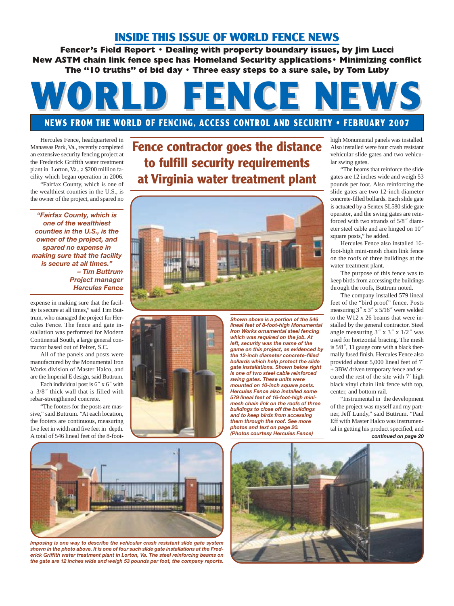## **INSIDE THIS ISSUE OF WORLD FENCE NEWS**

**Fencer's Field Report • Dealing with property boundary issues, by Jim Lucci New ASTM chain link fence spec has Homeland Security applications• Minimizing conflict The "10 truths" of bid day • Three easy steps to a sure sale, by Tom Luby** 

## WORLD FENCE NEWS

## **NEWS FROM THE WORLD OF FENCING, ACCESS CONTROL AND SECURITY • FEBRUARY 2007**

**Fence contractor goes the distance**

**to fulfill security requirements** 

Hercules Fence, headquartered in Manassas Park, Va., recently completed an extensive security fencing project at the Frederick Griffith water treatment plant in Lorton, Va., a \$200 million facility which began operation in 2006. "Fairfax County, which is one of the wealthiest counties in the U.S., is the owner of the project, and spared no

*"Fairfax County, which is one of the wealthiest counties in the U.S., is the owner of the project, and spared no expense in making sure that the facility is secure at all times." – Tim Buttrum Project manager Hercules Fence*

expense in making sure that the facility is secure at all times," said Tim Buttrum, who managed the project for Hercules Fence. The fence and gate installation was performed for Modern Continental South, a large general contractor based out of Pelzer, S.C.

All of the panels and posts were manufactured by the Monumental Iron Works division of Master Halco, and are the Imperial E design, said Buttrum.

Each individual post is 6*"* x 6*"* with a 3/8*"* thick wall that is filled with rebar-strengthened concrete.

"The footers for the posts are massive," said Buttrum. "At each location, the footers are continuous, measuring five feet in width and five feet in depth. A total of 546 lineal feet of the 8-foot-





*Shown above is a portion of the 546 lineal feet of 8-foot-high Monumental Iron Works ornamental steel fencing which was required on the job. At left, security was the name of the game on this project, as evidenced by the 12-inch diameter concrete-filled bollards which help protect the slide gate installations. Shown below right is one of two steel cable reinforced swing gates. These units were mounted on 10-inch square posts. Hercules Fence also installed some 579 lineal feet of 16-foot-high minimesh chain link on the roofs of three buildings to close off the buildings and to keep birds from accessing them through the roof. See more photos and text on page 20. (Photos courtesy Hercules Fence)*

high Monumental panels was installed. Also installed were four crash resistant vehicular slide gates and two vehicular swing gates.

"The beams that reinforce the slide gates are 12 inches wide and weigh 53 pounds per foot. Also reinforcing the slide gates are two 12-inch diameter concrete-filled bollards. Each slide gate is actuated by a Sentex SL580 slide gate operator, and the swing gates are reinforced with two strands of 5/8*"* diameter steel cable and are hinged on 10*"* square posts," he added.

Hercules Fence also installed 16 foot-high mini-mesh chain link fence on the roofs of three buildings at the water treatment plant.

The purpose of this fence was to keep birds from accessing the buildings through the roofs, Buttrum noted.

The company installed 579 lineal feet of the "bird proof" fence. Posts measuring 3*"* x 3*"* x 5/16*"* were welded to the W12 x 26 beams that were installed by the general contractor. Steel angle measuring 3*"* x 3*"* x 1/2*"* was used for horizontal bracing. The mesh is 5/8*"*, 11 gauge core with a black thermally fused finish. Hercules Fence also provided about 5,000 lineal feet of 7*'* + 3BW driven temporary fence and secured the rest of the site with 7*'* high black vinyl chain link fence with top, center, and bottom rail.

"Instrumental in the development of the project was myself and my partner, Jeff Lundy," said Buttrum. "Paul Eff with Master Halco was instrumental in getting his product specified, and *continued on page 20*



*Imposing is one way to describe the vehicular crash resistant slide gate system shown in the photo above. It is one of four such slide gate installations at the Frederick Griffith water treatment plant in Lorton, Va. The steel reinforcing beams on the gate are 12 inches wide and weigh 53 pounds per foot, the company reports.*